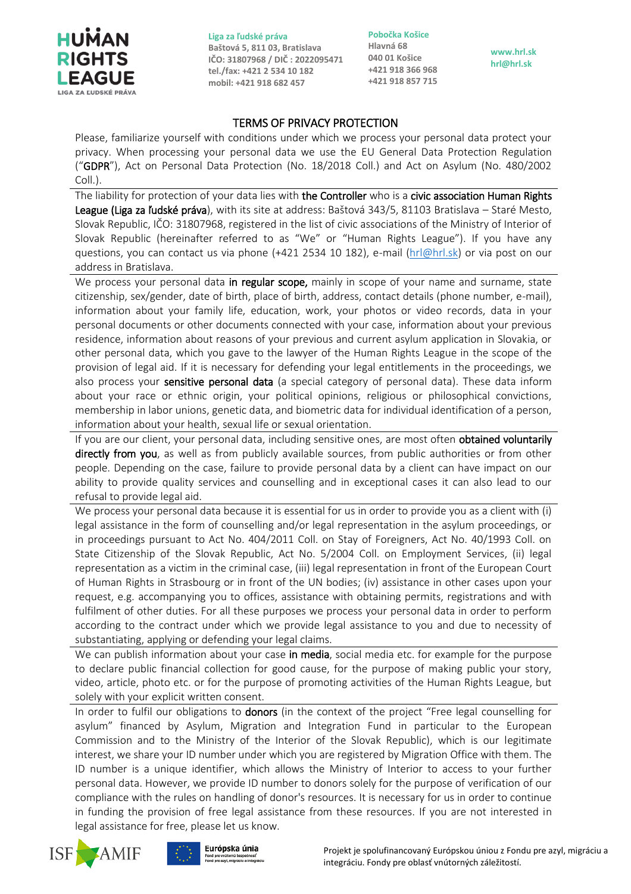

**Liga za ľudské práva Baštová 5, 811 03, Bratislava IČO: 31807968 / DIČ : 2022095471 tel./fax: +421 2 534 10 182 mobil: +421 918 682 457**

**Pobočka Košice Hlavná 68 040 01 Košice +421 918 366 968 +421 918 857 715**

**www.hrl.sk hrl@hrl.sk**

## TERMS OF PRIVACY PROTECTION

Please, familiarize yourself with conditions under which we process your personal data protect your privacy. When processing your personal data we use the EU General Data Protection Regulation ("GDPR"), Act on Personal Data Protection (No. 18/2018 Coll.) and Act on Asylum (No. 480/2002 Coll.).

The liability for protection of your data lies with the Controller who is a civic association Human Rights League (Liga za ľudské práva), with its site at address: Baštová 343/5, 81103 Bratislava – Staré Mesto, Slovak Republic, IČO: 31807968, registered in the list of civic associations of the Ministry of Interior of Slovak Republic (hereinafter referred to as "We" or "Human Rights League"). If you have any questions, you can contact us via phone (+421 2534 10 182), e-mail [\(hrl@hrl.sk\)](mailto:hrl@hrl.sk) or via post on our address in Bratislava.

We process your personal data **in regular scope,** mainly in scope of your name and surname, state citizenship, sex/gender, date of birth, place of birth, address, contact details (phone number, e-mail), information about your family life, education, work, your photos or video records, data in your personal documents or other documents connected with your case, information about your previous residence, information about reasons of your previous and current asylum application in Slovakia, or other personal data, which you gave to the lawyer of the Human Rights League in the scope of the provision of legal aid. If it is necessary for defending your legal entitlements in the proceedings, we also process your **sensitive personal data** (a special category of personal data). These data inform about your race or ethnic origin, your political opinions, religious or philosophical convictions, membership in labor unions, genetic data, and biometric data for individual identification of a person, information about your health, sexual life or sexual orientation.

If you are our client, your personal data, including sensitive ones, are most often obtained voluntarily directly from you, as well as from publicly available sources, from public authorities or from other people. Depending on the case, failure to provide personal data by a client can have impact on our ability to provide quality services and counselling and in exceptional cases it can also lead to our refusal to provide legal aid.

We process your personal data because it is essential for us in order to provide you as a client with (i) legal assistance in the form of counselling and/or legal representation in the asylum proceedings, or in proceedings pursuant to Act No. 404/2011 Coll. on Stay of Foreigners, Act No. 40/1993 Coll. on State Citizenship of the Slovak Republic, Act No. 5/2004 Coll. on Employment Services, (ii) legal representation as a victim in the criminal case, (iii) legal representation in front of the European Court of Human Rights in Strasbourg or in front of the UN bodies; (iv) assistance in other cases upon your request, e.g. accompanying you to offices, assistance with obtaining permits, registrations and with fulfilment of other duties. For all these purposes we process your personal data in order to perform according to the contract under which we provide legal assistance to you and due to necessity of substantiating, applying or defending your legal claims.

We can publish information about your case in media, social media etc. for example for the purpose to declare public financial collection for good cause, for the purpose of making public your story, video, article, photo etc. or for the purpose of promoting activities of the Human Rights League, but solely with your explicit written consent.

In order to fulfil our obligations to **donors** (in the context of the project "Free legal counselling for asylum" financed by Asylum, Migration and Integration Fund in particular to the European Commission and to the Ministry of the Interior of the Slovak Republic), which is our legitimate interest, we share your ID number under which you are registered by Migration Office with them. The ID number is a unique identifier, which allows the Ministry of Interior to access to your further personal data. However, we provide ID number to donors solely for the purpose of verification of our compliance with the rules on handling of donor's resources. It is necessary for us in order to continue in funding the provision of free legal assistance from these resources. If you are not interested in legal assistance for free, please let us know.